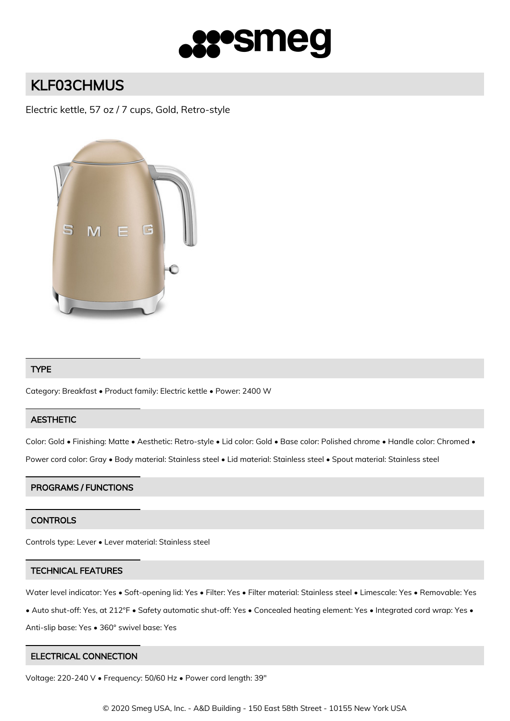

# KLF03CHMUS

Electric kettle, 57 oz / 7 cups, Gold, Retro-style



## TYPE

Category: Breakfast • Product family: Electric kettle • Power: 2400 W

# **AESTHETIC**

Color: Gold • Finishing: Matte • Aesthetic: Retro-style • Lid color: Gold • Base color: Polished chrome • Handle color: Chromed •

Power cord color: Gray • Body material: Stainless steel • Lid material: Stainless steel • Spout material: Stainless steel

#### PROGRAMS / FUNCTIONS

# **CONTROLS**

Controls type: Lever • Lever material: Stainless steel

#### TECHNICAL FEATURES

Water level indicator: Yes • Soft-opening lid: Yes • Filter: Yes • Filter material: Stainless steel • Limescale: Yes • Removable: Yes

• Auto shut-off: Yes, at 212°F • Safety automatic shut-off: Yes • Concealed heating element: Yes • Integrated cord wrap: Yes •

Anti-slip base: Yes • 360° swivel base: Yes

#### ELECTRICAL CONNECTION

Voltage: 220-240 V • Frequency: 50/60 Hz • Power cord length: 39"